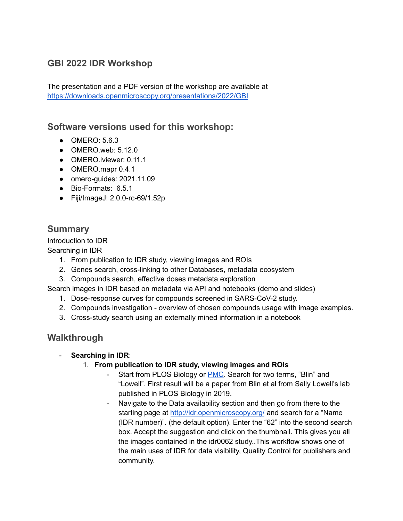# **GBI 2022 IDR Workshop**

The presentation and a PDF version of the workshop are available at <https://downloads.openmicroscopy.org/presentations/2022/GBI>

# **Software versions used for this workshop:**

- **OMERO: 5.6.3**
- OMERO.web: 5.12.0
- OMERO.iviewer: 0.11.1
- OMERO.mapr 0.4.1
- omero-guides: 2021.11.09
- Bio-Formats: 6.5.1
- Fiji/ImageJ: 2.0.0-rc-69/1.52p

# **Summary**

Introduction to IDR Searching in IDR

- 1. From publication to IDR study, viewing images and ROIs
- 2. Genes search, cross-linking to other Databases, metadata ecosystem
- 3. Compounds search, effective doses metadata exploration

Search images in IDR based on metadata via API and notebooks (demo and slides)

- 1. Dose-response curves for compounds screened in SARS-CoV-2 study.
- 2. Compounds investigation overview of chosen compounds usage with image examples.
- 3. Cross-study search using an externally mined information in a notebook

# **Walkthrough**

#### - **Searching in IDR**:

- 1. **From publication to IDR study, viewing images and ROIs**
	- Start from PLOS Biology or [PMC](https://www.ncbi.nlm.nih.gov/pmc/). Search for two terms, "Blin" and "Lowell". First result will be a paper from Blin et al from Sally Lowell's lab published in PLOS Biology in 2019.
	- Navigate to the Data availability section and then go from there to the starting page at <http://idr.openmicroscopy.org/> and search for a "Name" (IDR number)". (the default option). Enter the "62" into the second search box. Accept the suggestion and click on the thumbnail. This gives you all the images contained in the idr0062 study..This workflow shows one of the main uses of IDR for data visibility, Quality Control for publishers and community.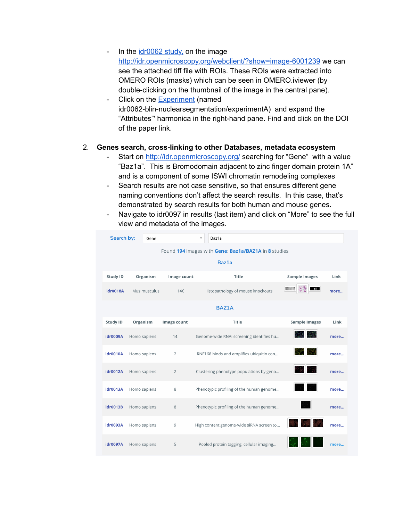- In the  $\frac{idr0062 \text{ study}}{k}$  $\frac{idr0062 \text{ study}}{k}$  $\frac{idr0062 \text{ study}}{k}$  on the image <http://idr.openmicroscopy.org/webclient/?show=image-6001239> we can see the attached tiff file with ROIs. These ROIs were extracted into OMERO ROIs (masks) which can be seen in OMERO.iviewer (by double-clicking on the thumbnail of the image in the central pane).
- Click on the [Experiment](http://idr.openmicroscopy.org/webclient/?show=project-801) (named idr0062-blin-nuclearsegmentation/experimentA) and expand the "Attributes"' harmonica in the right-hand pane. Find and click on the DOI of the paper link.

#### 2. **Genes search, cross-linking to other Databases, metadata ecosystem**

- Start on <http://idr.openmicroscopy.org/> searching for "Gene" with a value "Baz1a". This is Bromodomain adjacent to zinc finger domain protein 1A" and is a component of some ISWI chromatin remodeling complexes
- Search results are not case sensitive, so that ensures different gene naming conventions don't affect the search results. In this case, that's demonstrated by search results for both human and mouse genes.
- Navigate to idr0097 in results (last item) and click on "More" to see the full view and metadata of the images.

| Search by:      |              | Gene                                                 |                | $\overline{\mathbf{v}}$ | Baz1a                                    |                      |      |
|-----------------|--------------|------------------------------------------------------|----------------|-------------------------|------------------------------------------|----------------------|------|
|                 |              | Found 194 images with Gene: Baz1a/BAZ1A in 8 studies |                |                         |                                          |                      |      |
|                 |              |                                                      |                |                         | Baz1a                                    |                      |      |
| <b>Study ID</b> |              | Organism                                             | Image count    |                         | Title                                    | <b>Sample Images</b> | Link |
| idr0018A        |              | Mus musculus                                         | 146            |                         | Histopathology of mouse knockouts        | $E = 35$<br>s i      | more |
|                 |              |                                                      |                |                         | <b>BAZ1A</b>                             |                      |      |
| <b>Study ID</b> | Organism     |                                                      | Image count    |                         | <b>Title</b>                             | <b>Sample Images</b> | Link |
| <b>idr0009A</b> | Homo sapiens |                                                      | 14             |                         | Genome-wide RNAi screening identifies hu |                      | more |
| idr0010A        | Homo sapiens |                                                      | $\overline{2}$ |                         | RNF168 binds and amplifies ubiquitin con |                      | more |
| <b>idr0012A</b> | Homo sapiens |                                                      | $\overline{2}$ |                         | Clustering phenotype populations by geno | 도 맞<br>PER II        | more |
| idr0013A        | Homo sapiens |                                                      | 8              |                         | Phenotypic profiling of the human genome |                      | more |
| idr0013B        | Homo sapiens |                                                      | 8              |                         | Phenotypic profiling of the human genome |                      | more |
| idr0093A        | Homo sapiens |                                                      | 9              |                         | High content genome-wide siRNA screen to |                      | more |
| <b>idr0097A</b> | Homo sapiens |                                                      | 5              |                         | Pooled protein tagging, cellular imaging |                      | more |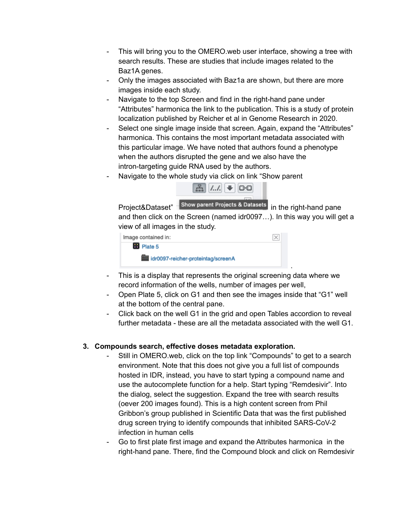- This will bring you to the OMERO.web user interface, showing a tree with search results. These are studies that include images related to the Baz1A genes.
- Only the images associated with Baz1a are shown, but there are more images inside each study.
- Navigate to the top Screen and find in the right-hand pane under "Attributes" harmonica the link to the publication. This is a study of protein localization published by Reicher et al in Genome Research in 2020.
- Select one single image inside that screen. Again, expand the "Attributes" harmonica. This contains the most important metadata associated with this particular image. We have noted that authors found a phenotype when the authors disrupted the gene and we also have the intron-targeting guide RNA used by the authors.
- Navigate to the whole study via click on link "Show parent"



Project&Dataset" Show parent Projects & Datasets in the right-hand pane and then click on the Screen (named idr0097…). In this way you will get a view of all images in the study.

.

| Image contained in: |                                               | $\vert \times \vert$ |
|---------------------|-----------------------------------------------|----------------------|
| <b>B</b> Plate 5    |                                               |                      |
|                     | <b>BBB</b> idr0097-reicher-proteintag/screenA |                      |

- This is a display that represents the original screening data where we record information of the wells, number of images per well,
- Open Plate 5, click on G1 and then see the images inside that "G1" well at the bottom of the central pane.
- Click back on the well G1 in the grid and open Tables accordion to reveal further metadata - these are all the metadata associated with the well G1.

#### **3. Compounds search, effective doses metadata exploration.**

- Still in OMERO.web, click on the top link "Compounds" to get to a search environment. Note that this does not give you a full list of compounds hosted in IDR, instead, you have to start typing a compound name and use the autocomplete function for a help. Start typing "Remdesivir". Into the dialog, select the suggestion. Expand the tree with search results (oever 200 images found). This is a high content screen from Phil Gribbon's group published in Scientific Data that was the first published drug screen trying to identify compounds that inhibited SARS-CoV-2 infection in human cells
- Go to first plate first image and expand the Attributes harmonica in the right-hand pane. There, find the Compound block and click on Remdesivir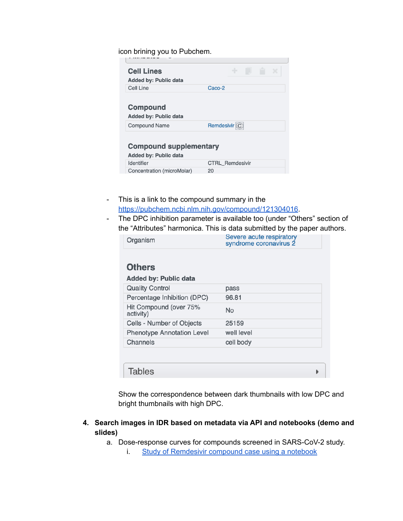icon brining you to Pubchem.

| <b>Cell Lines</b>             | ÷<br>×                  |
|-------------------------------|-------------------------|
| <b>Added by: Public data</b>  |                         |
| Cell Line                     | Caco-2                  |
|                               |                         |
| <b>Compound</b>               |                         |
| <b>Added by: Public data</b>  |                         |
| <b>Compound Name</b>          | Remdesivir <sup>C</sup> |
|                               |                         |
| <b>Compound supplementary</b> |                         |
| <b>Added by: Public data</b>  |                         |
|                               |                         |
| <b>Identifier</b>             | <b>CTRL Remdesivir</b>  |
| Concentration (microMolar)    | 20                      |

- This is a link to the compound summary in the <https://pubchem.ncbi.nlm.nih.gov/compound/121304016>.
- The DPC inhibition parameter is available too (under "Others" section of the "Attributes" harmonica. This is data submitted by the paper authors.

| Organism                            | Severe acute respiratory<br>syndrome coronavirus 2 |
|-------------------------------------|----------------------------------------------------|
| <b>Others</b>                       |                                                    |
| <b>Added by: Public data</b>        |                                                    |
| <b>Quality Control</b>              | pass                                               |
| Percentage Inhibition (DPC)         | 96.81                                              |
| Hit Compound (over 75%<br>activity) | No                                                 |
| Cells - Number of Objects           | 25159                                              |
| <b>Phenotype Annotation Level</b>   | well level                                         |
| Channels                            | cell body                                          |

Show the correspondence between dark thumbnails with low DPC and bright thumbnails with high DPC.

**4. Search images in IDR based on metadata via API and notebooks (demo and slides)**

a. Dose-response curves for compounds screened in SARS-CoV-2 study.

i. Study of [Remdesivir](https://github.com/IDR/idr0094-ellinger-sarscov2/blob/master/notebooks/idr0094-ic50.ipynb) compound case using a notebook